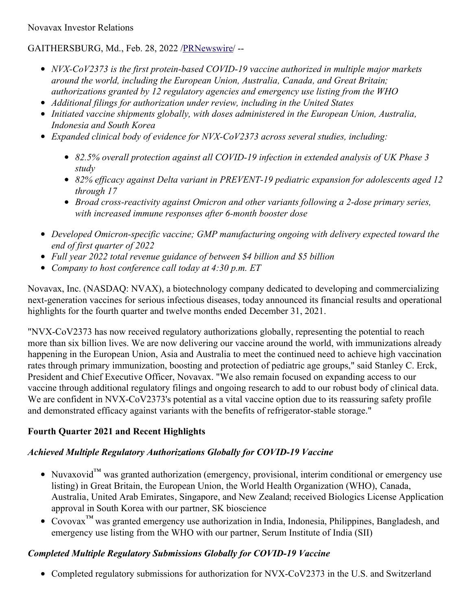Novavax Investor Relations

GAITHERSBURG, Md., Feb. 28, 2022 [/PRNewswire](http://www.prnewswire.com/)/ --

- *NVX-CoV2373 is the first protein-based COVID-19 vaccine authorized in multiple major markets around the world, including the European Union, Australia, Canada, and Great Britain; authorizations granted by 12 regulatory agencies and emergency use listing from the WHO*
- *Additional filings for authorization under review, including in the United States*
- *Initiated vaccine shipments globally, with doses administered in the European Union, Australia, Indonesia and South Korea*
- *Expanded clinical body of evidence for NVX-CoV2373 across several studies, including:*
	- *82.5% overall protection against all COVID-19 infection in extended analysis of UK Phase 3 study*
	- *82% ef icacy against Delta variant in PREVENT-19 pediatric expansion for adolescents aged 12 through 17*
	- *Broad cross-reactivity against Omicron and other variants following a 2-dose primary series, with increased immune responses after 6-month booster dose*
- *Developed Omicron-specific vaccine; GMP manufacturing ongoing with delivery expected toward the end of first quarter of 2022*
- *Full year 2022 total revenue guidance of between \$4 billion and \$5 billion*
- *Company to host conference call today at 4:30 p.m. ET*

Novavax, Inc. (NASDAQ: NVAX), a biotechnology company dedicated to developing and commercializing next-generation vaccines for serious infectious diseases, today announced its financial results and operational highlights for the fourth quarter and twelve months ended December 31, 2021.

"NVX-CoV2373 has now received regulatory authorizations globally, representing the potential to reach more than six billion lives. We are now delivering our vaccine around the world, with immunizations already happening in the European Union, Asia and Australia to meet the continued need to achieve high vaccination rates through primary immunization, boosting and protection of pediatric age groups," said Stanley C. Erck, President and Chief Executive Officer, Novavax. "We also remain focused on expanding access to our vaccine through additional regulatory filings and ongoing research to add to our robust body of clinical data. We are confident in NVX-CoV2373's potential as a vital vaccine option due to its reassuring safety profile and demonstrated efficacy against variants with the benefits of refrigerator-stable storage."

### **Fourth Quarter 2021 and Recent Highlights**

### *Achieved Multiple Regulatory Authorizations Globally for COVID-19 Vaccine*

- Nuvaxovid<sup>™</sup> was granted authorization (emergency, provisional, interim conditional or emergency use listing) in Great Britain, the European Union, the World Health Organization (WHO), Canada, Australia, United Arab Emirates, Singapore, and New Zealand; received Biologics License Application approval in South Korea with our partner, SK bioscience
- Covovax™ was granted emergency use authorization in India, Indonesia, Philippines, Bangladesh, and emergency use listing from the WHO with our partner, Serum Institute of India (SII)

### *Completed Multiple Regulatory Submissions Globally for COVID-19 Vaccine*

Completed regulatory submissions for authorization for NVX-CoV2373 in the U.S. and Switzerland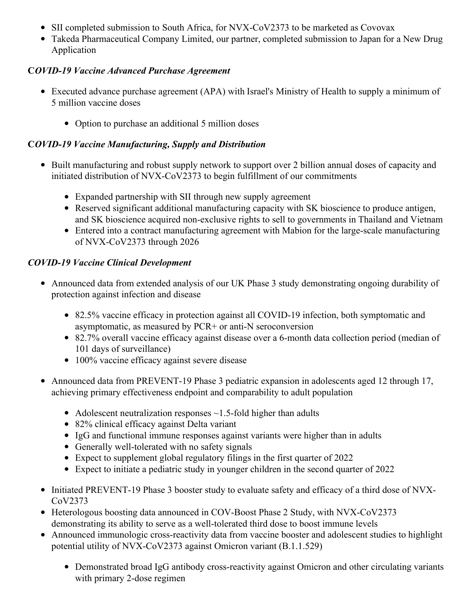- SII completed submission to South Africa, for NVX-CoV2373 to be marketed as Covovax
- Takeda Pharmaceutical Company Limited, our partner, completed submission to Japan for a New Drug Application

### **C***OVID-19 Vaccine Advanced Purchase Agreement*

- Executed advance purchase agreement (APA) with Israel's Ministry of Health to supply a minimum of 5 million vaccine doses
	- Option to purchase an additional 5 million doses

## **C***OVID-19 Vaccine Manufacturing, Supply and Distribution*

- Built manufacturing and robust supply network to support over 2 billion annual doses of capacity and initiated distribution of NVX-CoV2373 to begin fulfillment of our commitments
	- Expanded partnership with SII through new supply agreement
	- Reserved significant additional manufacturing capacity with SK bioscience to produce antigen, and SK bioscience acquired non-exclusive rights to sell to governments in Thailand and Vietnam
	- Entered into a contract manufacturing agreement with Mabion for the large-scale manufacturing of NVX-CoV2373 through 2026

### *COVID-19 Vaccine Clinical Development*

- Announced data from extended analysis of our UK Phase 3 study demonstrating ongoing durability of protection against infection and disease
	- 82.5% vaccine efficacy in protection against all COVID-19 infection, both symptomatic and asymptomatic, as measured by PCR+ or anti-N seroconversion
	- 82.7% overall vaccine efficacy against disease over a 6-month data collection period (median of 101 days of surveillance)
	- 100% vaccine efficacy against severe disease
- Announced data from PREVENT-19 Phase 3 pediatric expansion in adolescents aged 12 through 17,  $\bullet$ achieving primary effectiveness endpoint and comparability to adult population
	- Adolescent neutralization responses  $\sim$ 1.5-fold higher than adults
	- 82% clinical efficacy against Delta variant
	- IgG and functional immune responses against variants were higher than in adults
	- Generally well-tolerated with no safety signals
	- Expect to supplement global regulatory filings in the first quarter of 2022
	- Expect to initiate a pediatric study in younger children in the second quarter of 2022
- Initiated PREVENT-19 Phase 3 booster study to evaluate safety and efficacy of a third dose of NVX-CoV2373
- Heterologous boosting data announced in COV-Boost Phase 2 Study, with NVX-CoV2373 demonstrating its ability to serve as a well-tolerated third dose to boost immune levels
- Announced immunologic cross-reactivity data from vaccine booster and adolescent studies to highlight potential utility of NVX-CoV2373 against Omicron variant (B.1.1.529)
	- Demonstrated broad IgG antibody cross-reactivity against Omicron and other circulating variants with primary 2-dose regimen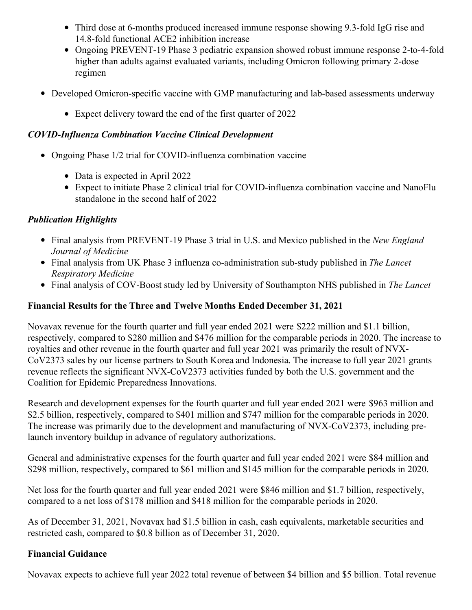- Third dose at 6-months produced increased immune response showing 9.3-fold IgG rise and 14.8-fold functional ACE2 inhibition increase
- Ongoing PREVENT-19 Phase 3 pediatric expansion showed robust immune response 2-to-4-fold higher than adults against evaluated variants, including Omicron following primary 2-dose regimen
- Developed Omicron-specific vaccine with GMP manufacturing and lab-based assessments underway
	- Expect delivery toward the end of the first quarter of 2022

### *COVID-Influenza Combination Vaccine Clinical Development*

- Ongoing Phase 1/2 trial for COVID-influenza combination vaccine
	- Data is expected in April 2022
	- Expect to initiate Phase 2 clinical trial for COVID-influenza combination vaccine and NanoFlu standalone in the second half of 2022

## *Publication Highlights*

- Final analysis from PREVENT-19 Phase 3 trial in U.S. and Mexico published in the *New England Journal of Medicine*
- Final analysis from UK Phase 3 influenza co-administration sub-study published in *The Lancet Respiratory Medicine*
- Final analysis of COV-Boost study led by University of Southampton NHS published in *The Lancet*

### **Financial Results for the Three and Twelve Months Ended December 31, 2021**

Novavax revenue for the fourth quarter and full year ended 2021 were \$222 million and \$1.1 billion, respectively, compared to \$280 million and \$476 million for the comparable periods in 2020. The increase to royalties and other revenue in the fourth quarter and full year 2021 was primarily the result of NVX-CoV2373 sales by our license partners to South Korea and Indonesia. The increase to full year 2021 grants revenue reflects the significant NVX-CoV2373 activities funded by both the U.S. government and the Coalition for Epidemic Preparedness Innovations.

Research and development expenses for the fourth quarter and full year ended 2021 were \$963 million and \$2.5 billion, respectively, compared to \$401 million and \$747 million for the comparable periods in 2020. The increase was primarily due to the development and manufacturing of NVX-CoV2373, including prelaunch inventory buildup in advance of regulatory authorizations.

General and administrative expenses for the fourth quarter and full year ended 2021 were \$84 million and \$298 million, respectively, compared to \$61 million and \$145 million for the comparable periods in 2020.

Net loss for the fourth quarter and full year ended 2021 were \$846 million and \$1.7 billion, respectively, compared to a net loss of \$178 million and \$418 million for the comparable periods in 2020.

As of December 31, 2021, Novavax had \$1.5 billion in cash, cash equivalents, marketable securities and restricted cash, compared to \$0.8 billion as of December 31, 2020.

### **Financial Guidance**

Novavax expects to achieve full year 2022 total revenue of between \$4 billion and \$5 billion. Total revenue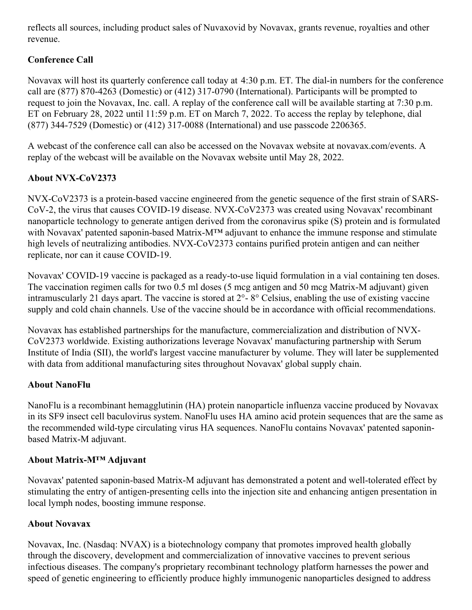reflects all sources, including product sales of Nuvaxovid by Novavax, grants revenue, royalties and other revenue.

# **Conference Call**

Novavax will host its quarterly conference call today at 4:30 p.m. ET. The dial-in numbers for the conference call are (877) 870-4263 (Domestic) or (412) 317-0790 (International). Participants will be prompted to request to join the Novavax, Inc. call. A replay of the conference call will be available starting at 7:30 p.m. ET on February 28, 2022 until 11:59 p.m. ET on March 7, 2022. To access the replay by telephone, dial (877) 344-7529 (Domestic) or (412) 317-0088 (International) and use passcode 2206365.

A webcast of the conference call can also be accessed on the Novavax website at novavax.com/events. A replay of the webcast will be available on the Novavax website until May 28, 2022.

# **About NVX-CoV2373**

NVX-CoV2373 is a protein-based vaccine engineered from the genetic sequence of the first strain of SARS-CoV-2, the virus that causes COVID-19 disease. NVX-CoV2373 was created using Novavax' recombinant nanoparticle technology to generate antigen derived from the coronavirus spike (S) protein and is formulated with Novavax' patented saponin-based Matrix-M™ adjuvant to enhance the immune response and stimulate high levels of neutralizing antibodies. NVX-CoV2373 contains purified protein antigen and can neither replicate, nor can it cause COVID-19.

Novavax' COVID-19 vaccine is packaged as a ready-to-use liquid formulation in a vial containing ten doses. The vaccination regimen calls for two 0.5 ml doses (5 mcg antigen and 50 mcg Matrix-M adjuvant) given intramuscularly 21 days apart. The vaccine is stored at 2°- 8° Celsius, enabling the use of existing vaccine supply and cold chain channels. Use of the vaccine should be in accordance with official recommendations.

Novavax has established partnerships for the manufacture, commercialization and distribution of NVX-CoV2373 worldwide. Existing authorizations leverage Novavax' manufacturing partnership with Serum Institute of India (SII), the world's largest vaccine manufacturer by volume. They will later be supplemented with data from additional manufacturing sites throughout Novavax' global supply chain.

### **About NanoFlu**

NanoFlu is a recombinant hemagglutinin (HA) protein nanoparticle influenza vaccine produced by Novavax in its SF9 insect cell baculovirus system. NanoFlu uses HA amino acid protein sequences that are the same as the recommended wild-type circulating virus HA sequences. NanoFlu contains Novavax' patented saponinbased Matrix-M adjuvant.

### **About Matrix-M™ Adjuvant**

Novavax' patented saponin-based Matrix-M adjuvant has demonstrated a potent and well-tolerated effect by stimulating the entry of antigen-presenting cells into the injection site and enhancing antigen presentation in local lymph nodes, boosting immune response.

### **About Novavax**

Novavax, Inc. (Nasdaq: NVAX) is a biotechnology company that promotes improved health globally through the discovery, development and commercialization of innovative vaccines to prevent serious infectious diseases. The company's proprietary recombinant technology platform harnesses the power and speed of genetic engineering to efficiently produce highly immunogenic nanoparticles designed to address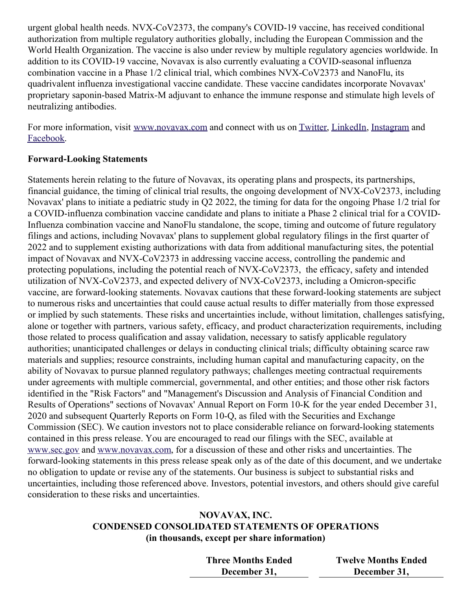urgent global health needs. NVX-CoV2373, the company's COVID-19 vaccine, has received conditional authorization from multiple regulatory authorities globally, including the European Commission and the World Health Organization. The vaccine is also under review by multiple regulatory agencies worldwide. In addition to its COVID-19 vaccine, Novavax is also currently evaluating a COVID-seasonal influenza combination vaccine in a Phase 1/2 clinical trial, which combines NVX-CoV2373 and NanoFlu, its quadrivalent influenza investigational vaccine candidate. These vaccine candidates incorporate Novavax' proprietary saponin-based Matrix-M adjuvant to enhance the immune response and stimulate high levels of neutralizing antibodies.

For more information, visit [www.novavax.com](https://c212.net/c/link/?t=0&l=en&o=3457869-1&h=982408174&u=https%3A%2F%2Fc212.net%2Fc%2Flink%2F%3Ft%3D0%26l%3Den%26o%3D3440781-1%26h%3D3964594936%26u%3Dhttps%253A%252F%252Fc212.net%252Fc%252Flink%252F%253Ft%253D0%2526l%253Den%2526o%253D3395501-1%2526h%253D2463599076%2526u%253Dhttps%25253A%25252F%25252Fc212.net%25252Fc%25252Flink%25252F%25253Ft%25253D0%252526l%25253Den%252526o%25253D3392093-1%252526h%25253D203886192%252526u%25253Dhttps%2525253A%2525252F%2525252Fc212.net%2525252Fc%2525252Flink%2525252F%2525253Ft%2525253D0%25252526l%2525253Den%25252526o%2525253D3387216-1%25252526h%2525253D3917401194%25252526u%2525253Dhttps%252525253A%252525252F%252525252Fc212.net%252525252Fc%252525252Flink%252525252F%252525253Ft%252525253D0%2525252526l%252525253Den%2525252526o%252525253D3260461-1%2525252526h%252525253D2897486098%2525252526u%252525253Dhttp%25252525253A%25252525252F%25252525252Fwww.novavax.com%25252525252F%2525252526a%252525253Dwww.novavax.com%25252526a%2525253Dwww.novavax.com%252526a%25253Dwww.novavax.com%2526a%253Dwww.novavax.com%26a%3Dwww.novavax.com&a=www.novavax.com) and connect with us on [Twitter](https://c212.net/c/link/?t=0&l=en&o=3457869-1&h=572566602&u=https%3A%2F%2Fc212.net%2Fc%2Flink%2F%3Ft%3D0%26l%3Den%26o%3D3440781-1%26h%3D105479535%26u%3Dhttps%253A%252F%252Fc212.net%252Fc%252Flink%252F%253Ft%253D0%2526l%253Den%2526o%253D3395501-1%2526h%253D4221703946%2526u%253Dhttps%25253A%25252F%25252Fc212.net%25252Fc%25252Flink%25252F%25253Ft%25253D0%252526l%25253Den%252526o%25253D3392093-1%252526h%25253D1222342448%252526u%25253Dhttps%2525253A%2525252F%2525252Fc212.net%2525252Fc%2525252Flink%2525252F%2525253Ft%2525253D0%25252526l%2525253Den%25252526o%2525253D3387216-1%25252526h%2525253D3606837610%25252526u%2525253Dhttps%252525253A%252525252F%252525252Fc212.net%252525252Fc%252525252Flink%252525252F%252525253Ft%252525253D0%2525252526l%252525253Den%2525252526o%252525253D3260461-1%2525252526h%252525253D1316526774%2525252526u%252525253Dhttps%25252525253A%25252525252F%25252525252Fc212.net%25252525252Fc%25252525252Flink%25252525252F%25252525253Ft%25252525253D0%252525252526l%25252525253Den%252525252526o%25252525253D3158017-1%252525252526h%25252525253D500821283%252525252526u%25252525253Dhttps%2525252525253A%2525252525252F%2525252525252Ftwitter.com%2525252525252FNovavax%252525252526a%25252525253DTwitter%2525252526a%252525253DTwitter%25252526a%2525253DTwitter%252526a%25253DTwitter%2526a%253DTwitter%26a%3DTwitter&a=Twitter), [LinkedIn](https://c212.net/c/link/?t=0&l=en&o=3457869-1&h=1725473980&u=https%3A%2F%2Fc212.net%2Fc%2Flink%2F%3Ft%3D0%26l%3Den%26o%3D3440781-1%26h%3D2733326919%26u%3Dhttps%253A%252F%252Fc212.net%252Fc%252Flink%252F%253Ft%253D0%2526l%253Den%2526o%253D3395501-1%2526h%253D853375093%2526u%253Dhttps%25253A%25252F%25252Fc212.net%25252Fc%25252Flink%25252F%25253Ft%25253D0%252526l%25253Den%252526o%25253D3392093-1%252526h%25253D1325598136%252526u%25253Dhttps%2525253A%2525252F%2525252Fc212.net%2525252Fc%2525252Flink%2525252F%2525253Ft%2525253D0%25252526l%2525253Den%25252526o%2525253D3387216-1%25252526h%2525253D2935962557%25252526u%2525253Dhttps%252525253A%252525252F%252525252Fc212.net%252525252Fc%252525252Flink%252525252F%252525253Ft%252525253D0%2525252526l%252525253Den%2525252526o%252525253D3260461-1%2525252526h%252525253D1508558197%2525252526u%252525253Dhttps%25252525253A%25252525252F%25252525252Fc212.net%25252525252Fc%25252525252Flink%25252525252F%25252525253Ft%25252525253D0%252525252526l%25252525253Den%252525252526o%25252525253D3158017-1%252525252526h%25252525253D3702938248%252525252526u%25252525253Dhttps%2525252525253A%2525252525252F%2525252525252Fwww.linkedin.com%2525252525252Fcompany%2525252525252Fnovavax%2525252525252F%252525252526a%25252525253DLinkedIn%2525252526a%252525253DLinkedIn%25252526a%2525253DLinkedIn%252526a%25253DLinkedIn%2526a%253DLinkedIn%26a%3DLinkedIn&a=LinkedIn), [Instagram](https://c212.net/c/link/?t=0&l=en&o=3457869-1&h=3437899170&u=https%3A%2F%2Fc212.net%2Fc%2Flink%2F%3Ft%3D0%26l%3Den%26o%3D3440781-1%26h%3D1486889287%26u%3Dhttps%253A%252F%252Fc212.net%252Fc%252Flink%252F%253Ft%253D0%2526l%253Den%2526o%253D3395501-1%2526h%253D3574403071%2526u%253Dhttps%25253A%25252F%25252Fc212.net%25252Fc%25252Flink%25252F%25253Ft%25253D0%252526l%25253Den%252526o%25253D3392093-1%252526h%25253D64626343%252526u%25253Dhttps%2525253A%2525252F%2525252Fc212.net%2525252Fc%2525252Flink%2525252F%2525253Ft%2525253D0%25252526l%2525253Den%25252526o%2525253D3387216-1%25252526h%2525253D844488893%25252526u%2525253Dhttps%252525253A%252525252F%252525252Fc212.net%252525252Fc%252525252Flink%252525252F%252525253Ft%252525253D0%2525252526l%252525253Den%2525252526o%252525253D3367039-1%2525252526h%252525253D3348182013%2525252526u%252525253Dhttps%25252525253A%25252525252F%25252525252Fwww.instagram.com%25252525252Fnovavax%25252525252F%2525252526a%252525253DInstagram%25252526a%2525253DInstagram%252526a%25253DInstagram%2526a%253DInstagram%26a%3DInstagram&a=Instagram) and [Facebook](https://c212.net/c/link/?t=0&l=en&o=3457869-1&h=2159235736&u=https%3A%2F%2Fc212.net%2Fc%2Flink%2F%3Ft%3D0%26l%3Den%26o%3D3440781-1%26h%3D3738538262%26u%3Dhttps%253A%252F%252Fc212.net%252Fc%252Flink%252F%253Ft%253D0%2526l%253Den%2526o%253D3395501-1%2526h%253D1061571609%2526u%253Dhttps%25253A%25252F%25252Fc212.net%25252Fc%25252Flink%25252F%25253Ft%25253D0%252526l%25253Den%252526o%25253D3392093-1%252526h%25253D2234833677%252526u%25253Dhttps%2525253A%2525252F%2525252Fc212.net%2525252Fc%2525252Flink%2525252F%2525253Ft%2525253D0%25252526l%2525253Den%25252526o%2525253D3387216-1%25252526h%2525253D4091724087%25252526u%2525253Dhttps%252525253A%252525252F%252525252Fwww.facebook.com%252525252FNovavax%252525252F%25252526a%2525253DFacebook%252526a%25253DFacebook%2526a%253DFacebook%26a%3DFacebook&a=Facebook).

### **Forward-Looking Statements**

Statements herein relating to the future of Novavax, its operating plans and prospects, its partnerships, financial guidance, the timing of clinical trial results, the ongoing development of NVX-CoV2373, including Novavax' plans to initiate a pediatric study in Q2 2022, the timing for data for the ongoing Phase 1/2 trial for a COVID-influenza combination vaccine candidate and plans to initiate a Phase 2 clinical trial for a COVID-Influenza combination vaccine and NanoFlu standalone, the scope, timing and outcome of future regulatory filings and actions, including Novavax' plans to supplement global regulatory filings in the first quarter of 2022 and to supplement existing authorizations with data from additional manufacturing sites, the potential impact of Novavax and NVX-CoV2373 in addressing vaccine access, controlling the pandemic and protecting populations, including the potential reach of NVX-CoV2373, the efficacy, safety and intended utilization of NVX-CoV2373, and expected delivery of NVX-CoV2373, including a Omicron-specific vaccine, are forward-looking statements. Novavax cautions that these forward-looking statements are subject to numerous risks and uncertainties that could cause actual results to differ materially from those expressed or implied by such statements. These risks and uncertainties include, without limitation, challenges satisfying, alone or together with partners, various safety, efficacy, and product characterization requirements, including those related to process qualification and assay validation, necessary to satisfy applicable regulatory authorities; unanticipated challenges or delays in conducting clinical trials; difficulty obtaining scarce raw materials and supplies; resource constraints, including human capital and manufacturing capacity, on the ability of Novavax to pursue planned regulatory pathways; challenges meeting contractual requirements under agreements with multiple commercial, governmental, and other entities; and those other risk factors identified in the "Risk Factors" and "Management's Discussion and Analysis of Financial Condition and Results of Operations" sections of Novavax' Annual Report on Form 10-K for the year ended December 31, 2020 and subsequent Quarterly Reports on Form 10-Q, as filed with the Securities and Exchange Commission (SEC). We caution investors not to place considerable reliance on forward-looking statements contained in this press release. You are encouraged to read our filings with the SEC, available at [www.sec.gov](https://c212.net/c/link/?t=0&l=en&o=3457869-1&h=904089984&u=https%3A%2F%2Fc212.net%2Fc%2Flink%2F%3Ft%3D0%26l%3Den%26o%3D3418278-1%26h%3D306882685%26u%3Dhttp%253A%252F%252Fwww.sec.gov%252F%26a%3Dwww.sec.gov&a=www.sec.gov) and [www.novavax.com](https://c212.net/c/link/?t=0&l=en&o=3457869-1&h=922735447&u=https%3A%2F%2Fc212.net%2Fc%2Flink%2F%3Ft%3D0%26l%3Den%26o%3D3418278-1%26h%3D393278701%26u%3Dhttp%253A%252F%252Fwww.novavax.com%252F%26a%3Dwww.novavax.com&a=www.novavax.com), for a discussion of these and other risks and uncertainties. The forward-looking statements in this press release speak only as of the date of this document, and we undertake no obligation to update or revise any of the statements. Our business is subject to substantial risks and uncertainties, including those referenced above. Investors, potential investors, and others should give careful consideration to these risks and uncertainties.

#### **NOVAVAX, INC.**

#### **CONDENSED CONSOLIDATED STATEMENTS OF OPERATIONS (in thousands, except per share information)**

| <b>Three Months Ended</b> | <b>Twelve Months Ended</b> |
|---------------------------|----------------------------|
| December 31,              | December 31,               |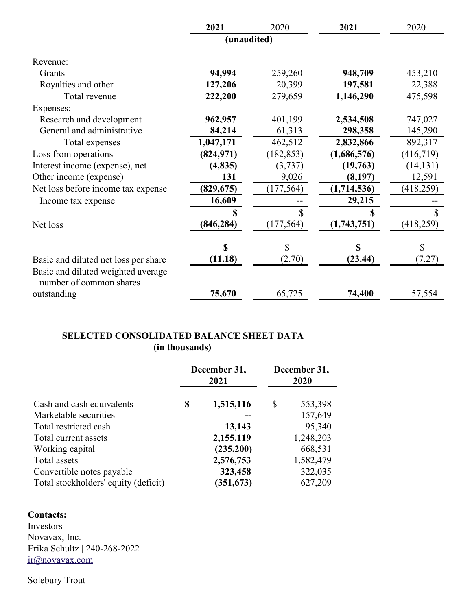|                                                               | 2021       | 2020       | 2021        | 2020       |  |  |
|---------------------------------------------------------------|------------|------------|-------------|------------|--|--|
| (unaudited)                                                   |            |            |             |            |  |  |
| Revenue:                                                      |            |            |             |            |  |  |
| Grants                                                        | 94,994     | 259,260    | 948,709     | 453,210    |  |  |
| Royalties and other                                           | 127,206    | 20,399     | 197,581     | 22,388     |  |  |
| Total revenue                                                 | 222,200    | 279,659    | 1,146,290   | 475,598    |  |  |
| Expenses:                                                     |            |            |             |            |  |  |
| Research and development                                      | 962,957    | 401,199    | 2,534,508   | 747,027    |  |  |
| General and administrative                                    | 84,214     | 61,313     | 298,358     | 145,290    |  |  |
| Total expenses                                                | 1,047,171  | 462,512    | 2,832,866   | 892,317    |  |  |
| Loss from operations                                          | (824, 971) | (182, 853) | (1,686,576) | (416, 719) |  |  |
| Interest income (expense), net                                | (4, 835)   | (3,737)    | (19,763)    | (14, 131)  |  |  |
| Other income (expense)                                        | 131        | 9,026      | (8, 197)    | 12,591     |  |  |
| Net loss before income tax expense                            | (829, 675) | (177, 564) | (1,714,536) | (418, 259) |  |  |
| Income tax expense                                            | 16,609     |            | 29,215      |            |  |  |
|                                                               |            |            |             |            |  |  |
| Net loss                                                      | (846, 284) | (177, 564) | (1,743,751) | (418, 259) |  |  |
|                                                               | \$         | \$         | \$          | \$         |  |  |
| Basic and diluted net loss per share                          | (11.18)    | (2.70)     | (23.44)     | (7.27)     |  |  |
| Basic and diluted weighted average<br>number of common shares |            |            |             |            |  |  |
| outstanding                                                   | 75,670     | 65,725     | 74,400      | 57,554     |  |  |

### **SELECTED CONSOLIDATED BALANCE SHEET DATA (in thousands)**

|                                      | December 31,<br>2021 |            | December 31,<br>2020 |           |
|--------------------------------------|----------------------|------------|----------------------|-----------|
| Cash and cash equivalents            | S                    | 1,515,116  | \$                   | 553,398   |
| Marketable securities                |                      |            |                      | 157,649   |
| Total restricted cash                |                      | 13,143     |                      | 95,340    |
| Total current assets                 |                      | 2,155,119  |                      | 1,248,203 |
| Working capital                      |                      | (235,200)  |                      | 668,531   |
| Total assets                         |                      | 2,576,753  |                      | 1,582,479 |
| Convertible notes payable            |                      | 323,458    |                      | 322,035   |
| Total stockholders' equity (deficit) |                      | (351, 673) |                      | 627,209   |

# **Contacts:**

**Investors** Novavax, Inc. Erika Schultz | 240-268-2022 [ir@novavax.com](mailto:ir@novavax.com)

### Solebury Trout